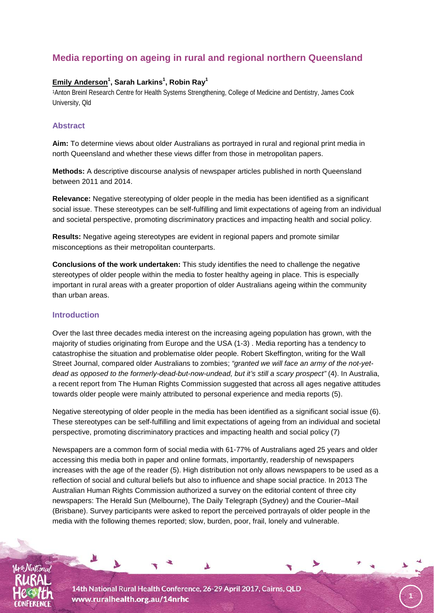# **Media reporting on ageing in rural and regional northern Queensland**

# **Emily Anderson<sup>1</sup> , Sarah Larkins1 , Robin Ray1**

1Anton Breinl Research Centre for Health Systems Strengthening, College of Medicine and Dentistry, James Cook University, Qld

### **Abstract**

**Aim:** To determine views about older Australians as portrayed in rural and regional print media in north Queensland and whether these views differ from those in metropolitan papers.

**Methods:** A descriptive discourse analysis of newspaper articles published in north Queensland between 2011 and 2014.

**Relevance:** Negative stereotyping of older people in the media has been identified as a significant social issue. These stereotypes can be self-fulfilling and limit expectations of ageing from an individual and societal perspective, promoting discriminatory practices and impacting health and social policy.

**Results:** Negative ageing stereotypes are evident in regional papers and promote similar misconceptions as their metropolitan counterparts.

**Conclusions of the work undertaken:** This study identifies the need to challenge the negative stereotypes of older people within the media to foster healthy ageing in place. This is especially important in rural areas with a greater proportion of older Australians ageing within the community than urban areas.

# **Introduction**

Over the last three decades media interest on the increasing ageing population has grown, with the majority of studies originating from Europe and the USA (1-3) . Media reporting has a tendency to catastrophise the situation and problematise older people. Robert Skeffington, writing for the Wall Street Journal, compared older Australians to zombies; *"granted we will face an army of the not-yetdead as opposed to the formerly-dead-but-now-undead, but it's still a scary prospect"* (4). In Australia, a recent report from The Human Rights Commission suggested that across all ages negative attitudes towards older people were mainly attributed to personal experience and media reports (5).

Negative stereotyping of older people in the media has been identified as a significant social issue (6). These stereotypes can be self-fulfilling and limit expectations of ageing from an individual and societal perspective, promoting discriminatory practices and impacting health and social policy (7)

Newspapers are a common form of social media with 61-77% of Australians aged 25 years and older accessing this media both in paper and online formats, importantly, readership of newspapers increases with the age of the reader (5). High distribution not only allows newspapers to be used as a reflection of social and cultural beliefs but also to influence and shape social practice. In 2013 The Australian Human Rights Commission authorized a survey on the editorial content of three city newspapers: The Herald Sun (Melbourne), The Daily Telegraph (Sydney) and the Courier–Mail (Brisbane). Survey participants were asked to report the perceived portrayals of older people in the media with the following themes reported; slow, burden, poor, frail, lonely and vulnerable.

**1**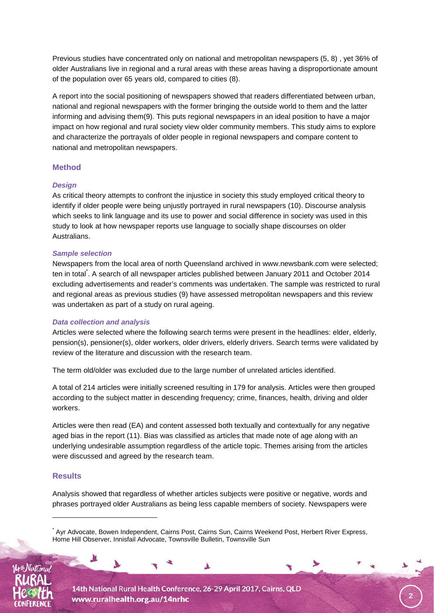Previous studies have concentrated only on national and metropolitan newspapers (5, 8) , yet 36% of older Australians live in regional and a rural areas with these areas having a disproportionate amount of the population over 65 years old, compared to cities (8).

A report into the social positioning of newspapers showed that readers differentiated between urban, national and regional newspapers with the former bringing the outside world to them and the latter informing and advising them(9). This puts regional newspapers in an ideal position to have a major impact on how regional and rural society view older community members. This study aims to explore and characterize the portrayals of older people in regional newspapers and compare content to national and metropolitan newspapers.

# **Method**

#### *Design*

As critical theory attempts to confront the injustice in society this study employed critical theory to identify if older people were being unjustly portrayed in rural newspapers (10). Discourse analysis which seeks to link language and its use to power and social difference in society was used in this study to look at how newspaper reports use language to socially shape discourses on older Australians.

#### *Sample selection*

Newspapers from the local area of north Queensland archived in www.newsbank.com were selected; ten in total<sup>\*</sup>. A search of all newspaper articles published between January 2011 and October 2014 excluding advertisements and reader's comments was undertaken. The sample was restricted to rural and regional areas as previous studies (9) have assessed metropolitan newspapers and this review was undertaken as part of a study on rural ageing.

#### *Data collection and analysis*

Articles were selected where the following search terms were present in the headlines: elder, elderly, pension(s), pensioner(s), older workers, older drivers, elderly drivers. Search terms were validated by review of the literature and discussion with the research team.

The term old/older was excluded due to the large number of unrelated articles identified.

A total of 214 articles were initially screened resulting in 179 for analysis. Articles were then grouped according to the subject matter in descending frequency; crime, finances, health, driving and older workers.

Articles were then read (EA) and content assessed both textually and contextually for any negative aged bias in the report (11). Bias was classified as articles that made note of age along with an underlying undesirable assumption regardless of the article topic. Themes arising from the articles were discussed and agreed by the research team.

#### **Results**

-

Analysis showed that regardless of whether articles subjects were positive or negative, words and phrases portrayed older Australians as being less capable members of society. Newspapers were

◥

**2**



<sup>\*</sup> Ayr Advocate, Bowen Independent, Cairns Post, Cairns Sun, Cairns Weekend Post, Herbert River Express, Home Hill Observer, Innisfail Advocate, Townsville Bulletin, Townsville Sun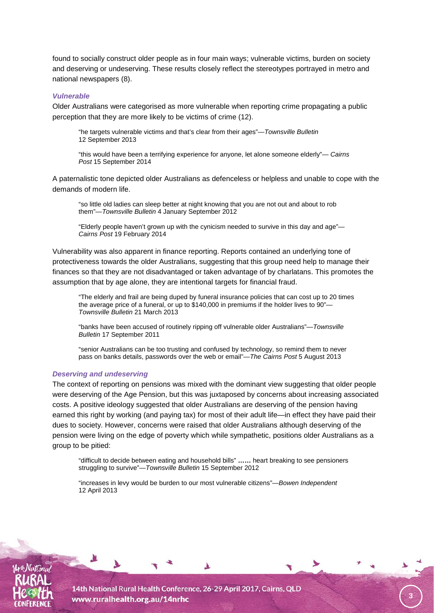found to socially construct older people as in four main ways; vulnerable victims, burden on society and deserving or undeserving. These results closely reflect the stereotypes portrayed in metro and national newspapers (8).

#### *Vulnerable*

Older Australians were categorised as more vulnerable when reporting crime propagating a public perception that they are more likely to be victims of crime (12).

"he targets vulnerable victims and that's clear from their ages"—*Townsville Bulletin*  12 September 2013

"this would have been a terrifying experience for anyone, let alone someone elderly"— *Cairns Post* 15 September 2014

A paternalistic tone depicted older Australians as defenceless or helpless and unable to cope with the demands of modern life.

"so little old ladies can sleep better at night knowing that you are not out and about to rob them"—*Townsville Bulletin* 4 January September 2012

"Elderly people haven't grown up with the cynicism needed to survive in this day and age"— *Cairns Post* 19 February 2014

Vulnerability was also apparent in finance reporting. Reports contained an underlying tone of protectiveness towards the older Australians, suggesting that this group need help to manage their finances so that they are not disadvantaged or taken advantage of by charlatans. This promotes the assumption that by age alone, they are intentional targets for financial fraud.

"The elderly and frail are being duped by funeral insurance policies that can cost up to 20 times the average price of a funeral, or up to \$140,000 in premiums if the holder lives to 90"— *Townsville Bulletin* 21 March 2013

"banks have been accused of routinely ripping off vulnerable older Australians"—*Townsville Bulletin* 17 September 2011

"senior Australians can be too trusting and confused by technology, so remind them to never pass on banks details, passwords over the web or email"—*The Cairns Post* 5 August 2013

#### *Deserving and undeserving*

The context of reporting on pensions was mixed with the dominant view suggesting that older people were deserving of the Age Pension, but this was juxtaposed by concerns about increasing associated costs. A positive ideology suggested that older Australians are deserving of the pension having earned this right by working (and paying tax) for most of their adult life—in effect they have paid their dues to society. However, concerns were raised that older Australians although deserving of the pension were living on the edge of poverty which while sympathetic, positions older Australians as a group to be pitied:

"difficult to decide between eating and household bills" **……** heart breaking to see pensioners struggling to survive"—*Townsville Bulletin* 15 September 2012

**3**

"increases in levy would be burden to our most vulnerable citizens"—*Bowen Independent*  12 April 2013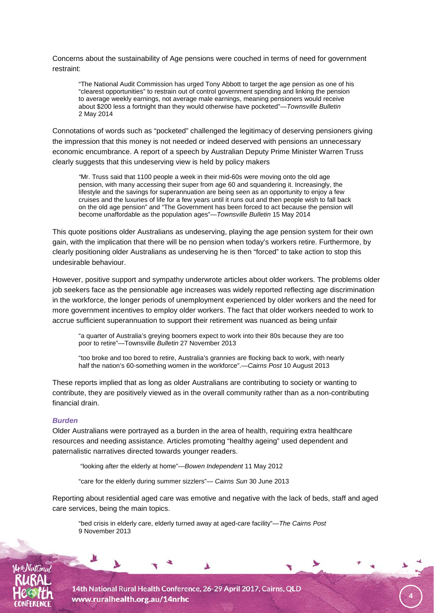Concerns about the sustainability of Age pensions were couched in terms of need for government restraint:

"The National Audit Commission has urged Tony Abbott to target the age pension as one of his "clearest opportunities" to restrain out of control government spending and linking the pension to average weekly earnings, not average male earnings, meaning pensioners would receive about \$200 less a fortnight than they would otherwise have pocketed"—*Townsville Bulletin*  2 May 2014

Connotations of words such as "pocketed" challenged the legitimacy of deserving pensioners giving the impression that this money is not needed or indeed deserved with pensions an unnecessary economic encumbrance. A report of a speech by Australian Deputy Prime Minister Warren Truss clearly suggests that this undeserving view is held by policy makers

*"*Mr. Truss said that 1100 people a week in their mid-60s were moving onto the old age pension, with many accessing their super from age 60 and squandering it. Increasingly, the lifestyle and the savings for superannuation are being seen as an opportunity to enjoy a few cruises and the luxuries of life for a few years until it runs out and then people wish to fall back on the old age pension" and "The Government has been forced to act because the pension will become unaffordable as the population ages"—*Townsville Bulletin* 15 May 2014

This quote positions older Australians as undeserving, playing the age pension system for their own gain, with the implication that there will be no pension when today's workers retire. Furthermore, by clearly positioning older Australians as undeserving he is then "forced" to take action to stop this undesirable behaviour.

However, positive support and sympathy underwrote articles about older workers. The problems older job seekers face as the pensionable age increases was widely reported reflecting age discrimination in the workforce, the longer periods of unemployment experienced by older workers and the need for more government incentives to employ older workers. The fact that older workers needed to work to accrue sufficient superannuation to support their retirement was nuanced as being unfair

"a quarter of Australia's greying boomers expect to work into their 80s because they are too poor to retire"—Townsville *Bulletin* 27 November 2013

"too broke and too bored to retire, Australia's grannies are flocking back to work, with nearly half the nation's 60-something women in the workforce".—*Cairns Post* 10 August 2013

These reports implied that as long as older Australians are contributing to society or wanting to contribute, they are positively viewed as in the overall community rather than as a non-contributing financial drain.

#### *Burden*

Older Australians were portrayed as a burden in the area of health, requiring extra healthcare resources and needing assistance. Articles promoting "healthy ageing" used dependent and paternalistic narratives directed towards younger readers.

"looking after the elderly at home"—*Bowen Independent* 11 May 2012

"care for the elderly during summer sizzlers"— *Cairns Sun* 30 June 2013

Reporting about residential aged care was emotive and negative with the lack of beds, staff and aged care services, being the main topics.

**4**

"bed crisis in elderly care, elderly turned away at aged-care facility"—*The Cairns Post*  9 November 2013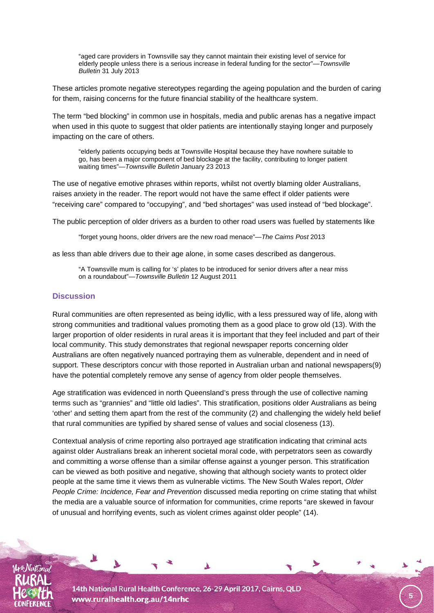"aged care providers in Townsville say they cannot maintain their existing level of service for elderly people unless there is a serious increase in federal funding for the sector"—*Townsville Bulletin* 31 July 2013

These articles promote negative stereotypes regarding the ageing population and the burden of caring for them, raising concerns for the future financial stability of the healthcare system.

The term "bed blocking" in common use in hospitals, media and public arenas has a negative impact when used in this quote to suggest that older patients are intentionally staying longer and purposely impacting on the care of others.

"elderly patients occupying beds at Townsville Hospital because they have nowhere suitable to go, has been a major component of bed blockage at the facility, contributing to longer patient waiting times"—*Townsville Bulletin* January 23 2013

The use of negative emotive phrases within reports, whilst not overtly blaming older Australians, raises anxiety in the reader. The report would not have the same effect if older patients were "receiving care" compared to "occupying", and "bed shortages" was used instead of "bed blockage".

The public perception of older drivers as a burden to other road users was fuelled by statements like

"forget young hoons, older drivers are the new road menace"—*The Cairns Post* 2013

as less than able drivers due to their age alone, in some cases described as dangerous.

"A Townsville mum is calling for 's' plates to be introduced for senior drivers after a near miss on a roundabout"*—Townsville Bulletin* 12 August 2011

# **Discussion**

Rural communities are often represented as being idyllic, with a less pressured way of life, along with strong communities and traditional values promoting them as a good place to grow old (13). With the larger proportion of older residents in rural areas it is important that they feel included and part of their local community. This study demonstrates that regional newspaper reports concerning older Australians are often negatively nuanced portraying them as vulnerable, dependent and in need of support. These descriptors concur with those reported in Australian urban and national newspapers(9) have the potential completely remove any sense of agency from older people themselves.

Age stratification was evidenced in north Queensland's press through the use of collective naming terms such as "grannies" and "little old ladies". This stratification, positions older Australians as being 'other' and setting them apart from the rest of the community (2) and challenging the widely held belief that rural communities are typified by shared sense of values and social closeness (13).

Contextual analysis of crime reporting also portrayed age stratification indicating that criminal acts against older Australians break an inherent societal moral code, with perpetrators seen as cowardly and committing a worse offense than a similar offense against a younger person. This stratification can be viewed as both positive and negative, showing that although society wants to protect older people at the same time it views them as vulnerable victims. The New South Wales report, *Older People Crime: Incidence, Fear and Prevention* discussed media reporting on crime stating that whilst the media are a valuable source of information for communities, crime reports "are skewed in favour of unusual and horrifying events, such as violent crimes against older people" (14).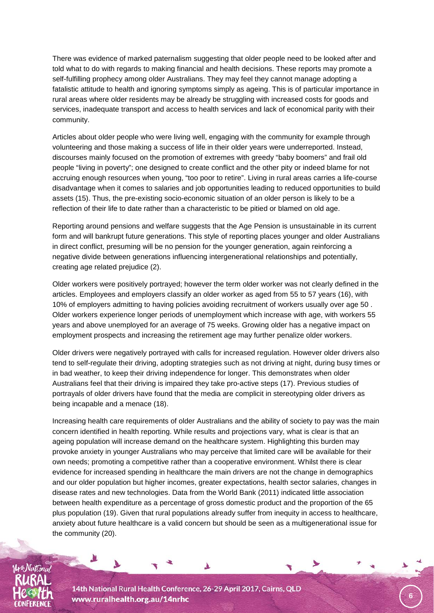There was evidence of marked paternalism suggesting that older people need to be looked after and told what to do with regards to making financial and health decisions. These reports may promote a self-fulfilling prophecy among older Australians. They may feel they cannot manage adopting a fatalistic attitude to health and ignoring symptoms simply as ageing. This is of particular importance in rural areas where older residents may be already be struggling with increased costs for goods and services, inadequate transport and access to health services and lack of economical parity with their community.

Articles about older people who were living well, engaging with the community for example through volunteering and those making a success of life in their older years were underreported. Instead, discourses mainly focused on the promotion of extremes with greedy "baby boomers" and frail old people "living in poverty"; one designed to create conflict and the other pity or indeed blame for not accruing enough resources when young, "too poor to retire". Living in rural areas carries a life-course disadvantage when it comes to salaries and job opportunities leading to reduced opportunities to build assets (15). Thus, the pre-existing socio-economic situation of an older person is likely to be a reflection of their life to date rather than a characteristic to be pitied or blamed on old age.

Reporting around pensions and welfare suggests that the Age Pension is unsustainable in its current form and will bankrupt future generations. This style of reporting places younger and older Australians in direct conflict, presuming will be no pension for the younger generation, again reinforcing a negative divide between generations influencing intergenerational relationships and potentially, creating age related prejudice (2).

Older workers were positively portrayed; however the term older worker was not clearly defined in the articles. Employees and employers classify an older worker as aged from 55 to 57 years (16), with 10% of employers admitting to having policies avoiding recruitment of workers usually over age 50 . Older workers experience longer periods of unemployment which increase with age, with workers 55 years and above unemployed for an average of 75 weeks. Growing older has a negative impact on employment prospects and increasing the retirement age may further penalize older workers.

Older drivers were negatively portrayed with calls for increased regulation. However older drivers also tend to self-regulate their driving, adopting strategies such as not driving at night, during busy times or in bad weather, to keep their driving independence for longer. This demonstrates when older Australians feel that their driving is impaired they take pro-active steps (17). Previous studies of portrayals of older drivers have found that the media are complicit in stereotyping older drivers as being incapable and a menace (18).

Increasing health care requirements of older Australians and the ability of society to pay was the main concern identified in health reporting. While results and projections vary, what is clear is that an ageing population will increase demand on the healthcare system. Highlighting this burden may provoke anxiety in younger Australians who may perceive that limited care will be available for their own needs; promoting a competitive rather than a cooperative environment. Whilst there is clear evidence for increased spending in healthcare the main drivers are not the change in demographics and our older population but higher incomes, greater expectations, health sector salaries, changes in disease rates and new technologies. Data from the World Bank (2011) indicated little association between health expenditure as a percentage of gross domestic product and the proportion of the 65 plus population (19). Given that rural populations already suffer from inequity in access to healthcare, anxiety about future healthcare is a valid concern but should be seen as a multigenerational issue for the community (20).

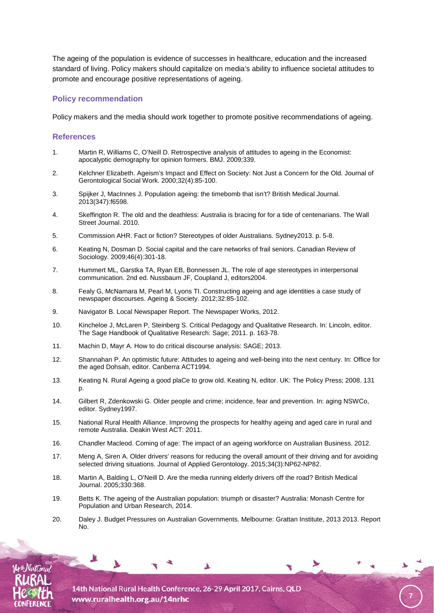The ageing of the population is evidence of successes in healthcare, education and the increased standard of living. Policy makers should capitalize on media's ability to influence societal attitudes to promote and encourage positive representations of ageing.

# **Policy recommendation**

Policy makers and the media should work together to promote positive recommendations of ageing.

### **References**

- 1. Martin R, Williams C, O'Neill D. Retrospective analysis of attitudes to ageing in the Economist: apocalyptic demography for opinion formers. BMJ. 2009;339.
- 2. Kelchner Elizabeth. Ageism's Impact and Effect on Society: Not Just a Concern for the Old. Journal of Gerontological Social Work. 2000;32(4):85-100.
- 3. Spijker J, MacInnes J. Population ageing: the timebomb that isn't? British Medical Journal. 2013(347):f6598.
- 4. Skeffington R. The old and the deathless: Australia is bracing for for a tide of centenarians. The Wall Street Journal. 2010.
- 5. Commission AHR. Fact or fiction? Stereotypes of older Australians. Sydney2013. p. 5-8.
- 6. Keating N, Dosman D. Social capital and the care networks of frail seniors. Canadian Review of Sociology. 2009;46(4):301-18.
- 7. Hummert ML, Garstka TA, Ryan EB, Bonnessen JL. The role of age stereotypes in interpersonal communication. 2nd ed. Nussbaum JF, Coupland J, editors2004.
- 8. Fealy G, McNamara M, Pearl M, Lyons TI. Constructing ageing and age identities a case study of newspaper discourses. Ageing & Society. 2012;32:85-102.
- 9. Navigator B. Local Newspaper Report. The Newspaper Works, 2012.
- 10. Kincheloe J, McLaren P, Steinberg S. Critical Pedagogy and Qualitative Research. In: Lincoln, editor. The Sage Handbook of Qualitative Research: Sage; 2011. p. 163-78.
- 11. Machin D, Mayr A. How to do critical discourse analysis: SAGE; 2013.
- 12. Shannahan P. An optimistic future: Attitudes to ageing and well-being into the next century. In: Office for the aged Dohsah, editor. Canberra ACT1994.
- 13. Keating N. Rural Ageing a good plaCe to grow old. Keating N, editor. UK: The Policy Press; 2008. 131 p.
- 14. Gilbert R, Zdenkowski G. Older people and crime; incidence, fear and prevention. In: aging NSWCo, editor. Sydney1997.
- 15. National Rural Health Alliance. Improving the prospects for healthy ageing and aged care in rural and remote Australia. Deakin West ACT: 2011.
- 16. Chandler Macleod. Coming of age: The impact of an ageing workforce on Australian Business. 2012.
- 17. Meng A, Siren A. Older drivers' reasons for reducing the overall amount of their driving and for avoiding selected driving situations. Journal of Applied Gerontology. 2015;34(3):NP62-NP82.
- 18. Martin A, Balding L, O'Neill D. Are the media running elderly drivers off the road? British Medical Journal. 2005;330:368.
- 19. Betts K. The ageing of the Australian population: triumph or disaster? Australia: Monash Centre for Population and Urban Research, 2014.
- 20. Daley J. Budget Pressures on Australian Governments. Melbourne: Grattan Institute, 2013 2013. Report No.

**7**